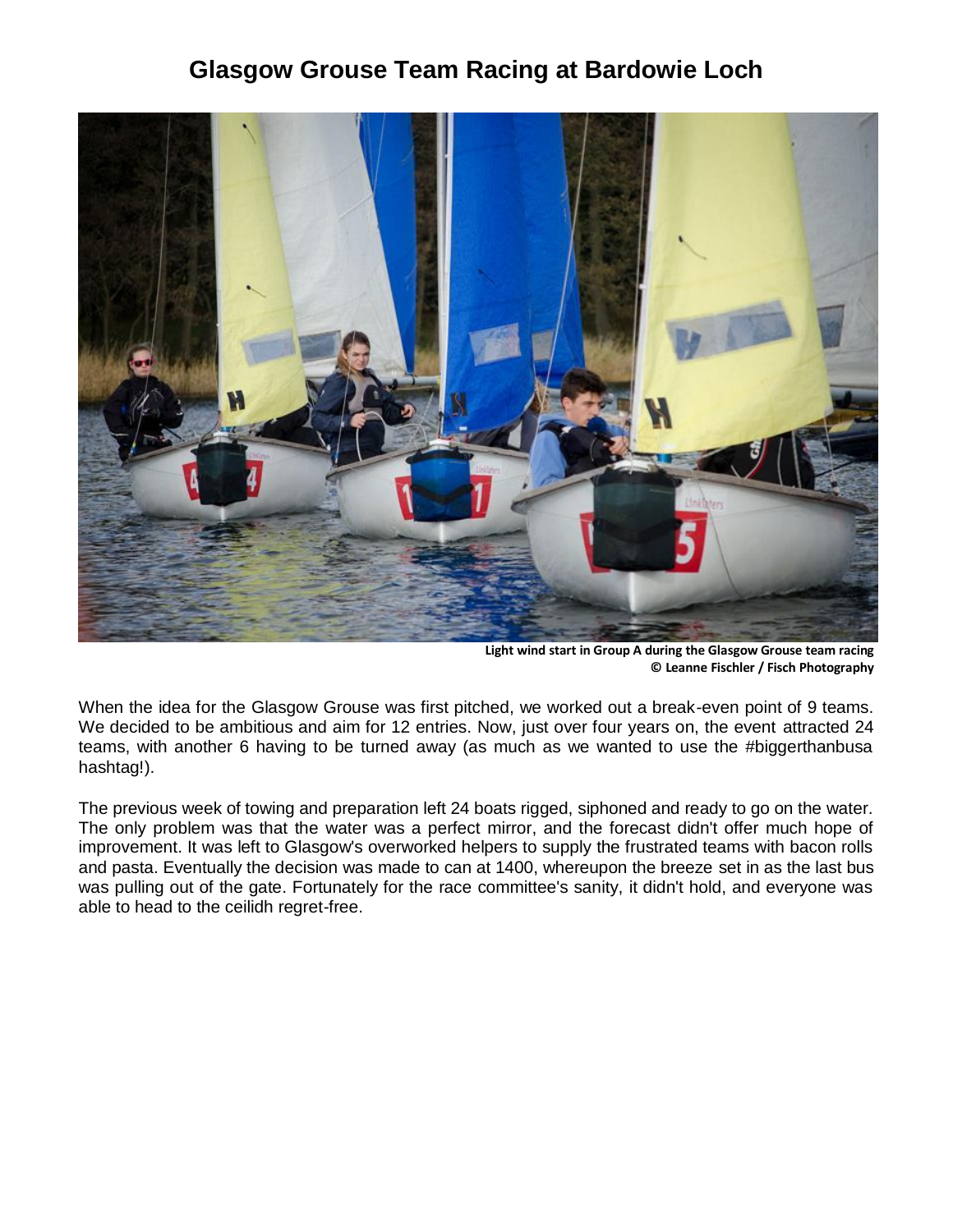## **Glasgow Grouse Team Racing at Bardowie Loch**



**Light wind start in Group A during the Glasgow Grouse team racing © Leanne Fischler / Fisch Photography**

When the idea for the Glasgow Grouse was first pitched, we worked out a break-even point of 9 teams. We decided to be ambitious and aim for 12 entries. Now, just over four years on, the event attracted 24 teams, with another 6 having to be turned away (as much as we wanted to use the #biggerthanbusa hashtag!).

The previous week of towing and preparation left 24 boats rigged, siphoned and ready to go on the water. The only problem was that the water was a perfect mirror, and the forecast didn't offer much hope of improvement. It was left to Glasgow's overworked helpers to supply the frustrated teams with bacon rolls and pasta. Eventually the decision was made to can at 1400, whereupon the breeze set in as the last bus was pulling out of the gate. Fortunately for the race committee's sanity, it didn't hold, and everyone was able to head to the ceilidh regret-free.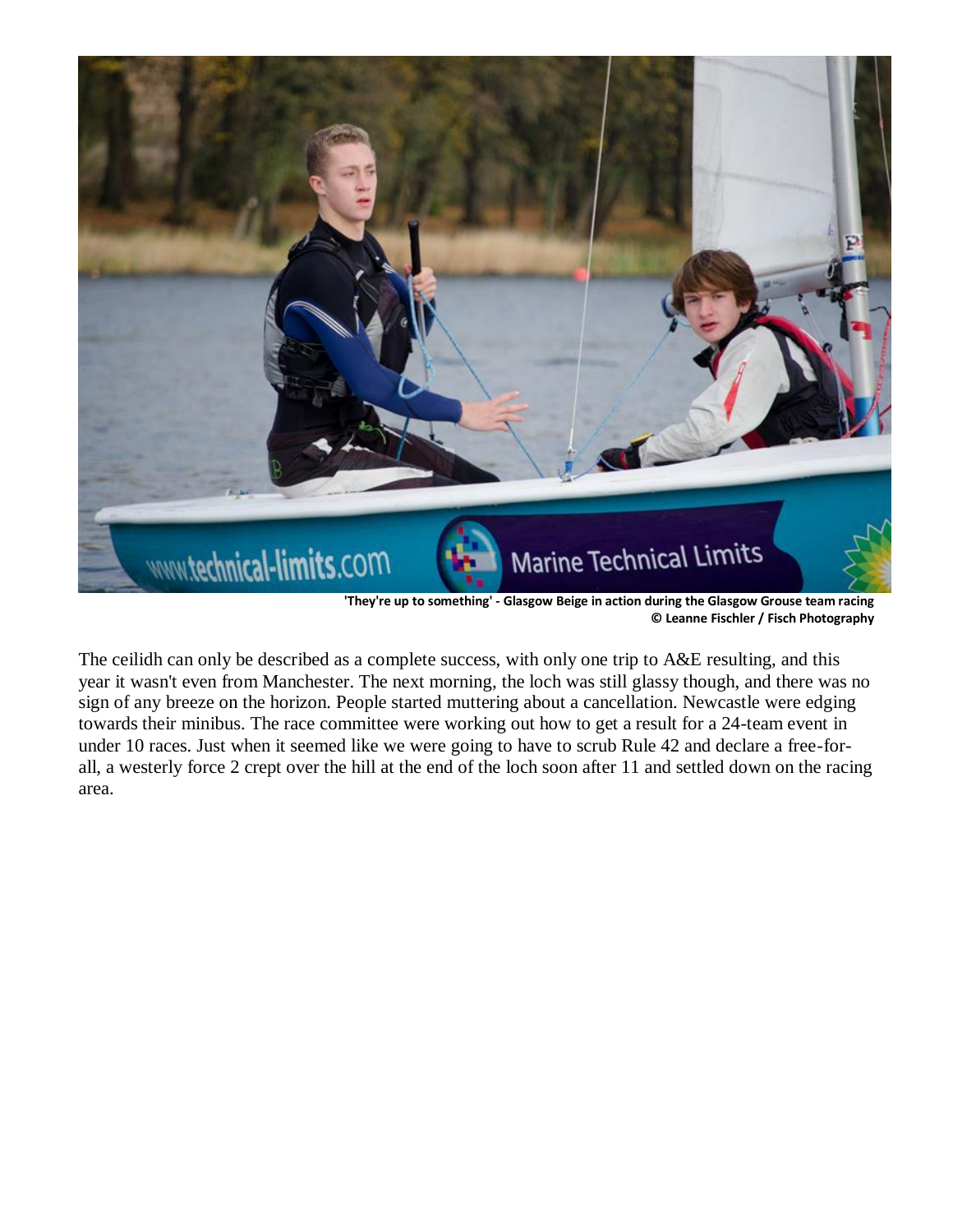

**'They're up to something' - Glasgow Beige in action during the Glasgow Grouse team racing © Leanne Fischler / Fisch Photography**

The ceilidh can only be described as a complete success, with only one trip to A&E resulting, and this year it wasn't even from Manchester. The next morning, the loch was still glassy though, and there was no sign of any breeze on the horizon. People started muttering about a cancellation. Newcastle were edging towards their minibus. The race committee were working out how to get a result for a 24-team event in under 10 races. Just when it seemed like we were going to have to scrub Rule 42 and declare a free-forall, a westerly force 2 crept over the hill at the end of the loch soon after 11 and settled down on the racing area.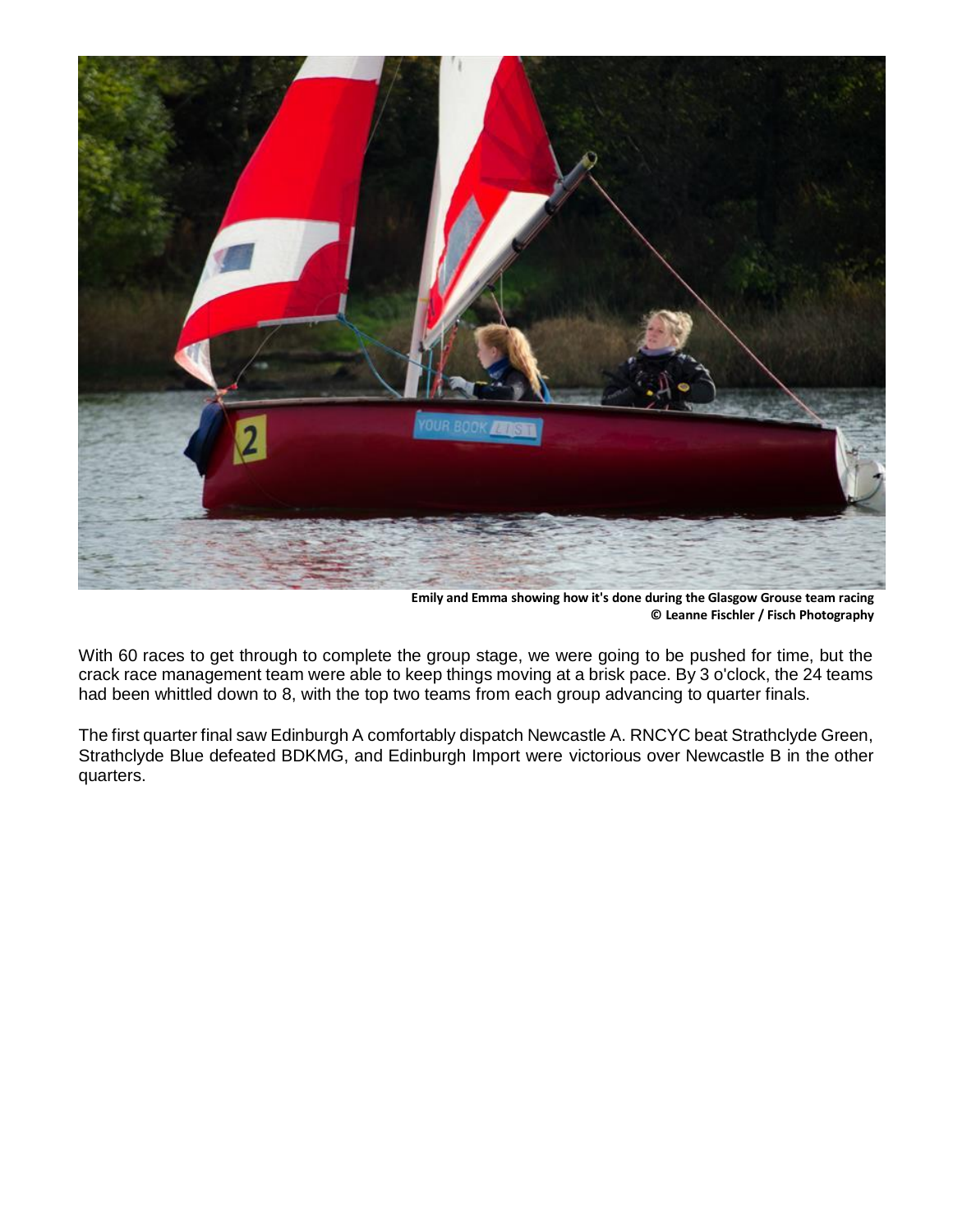

**Emily and Emma showing how it's done during the Glasgow Grouse team racing © Leanne Fischler / Fisch Photography**

With 60 races to get through to complete the group stage, we were going to be pushed for time, but the crack race management team were able to keep things moving at a brisk pace. By 3 o'clock, the 24 teams had been whittled down to 8, with the top two teams from each group advancing to quarter finals.

The first quarter final saw Edinburgh A comfortably dispatch Newcastle A. RNCYC beat Strathclyde Green, Strathclyde Blue defeated BDKMG, and Edinburgh Import were victorious over Newcastle B in the other quarters.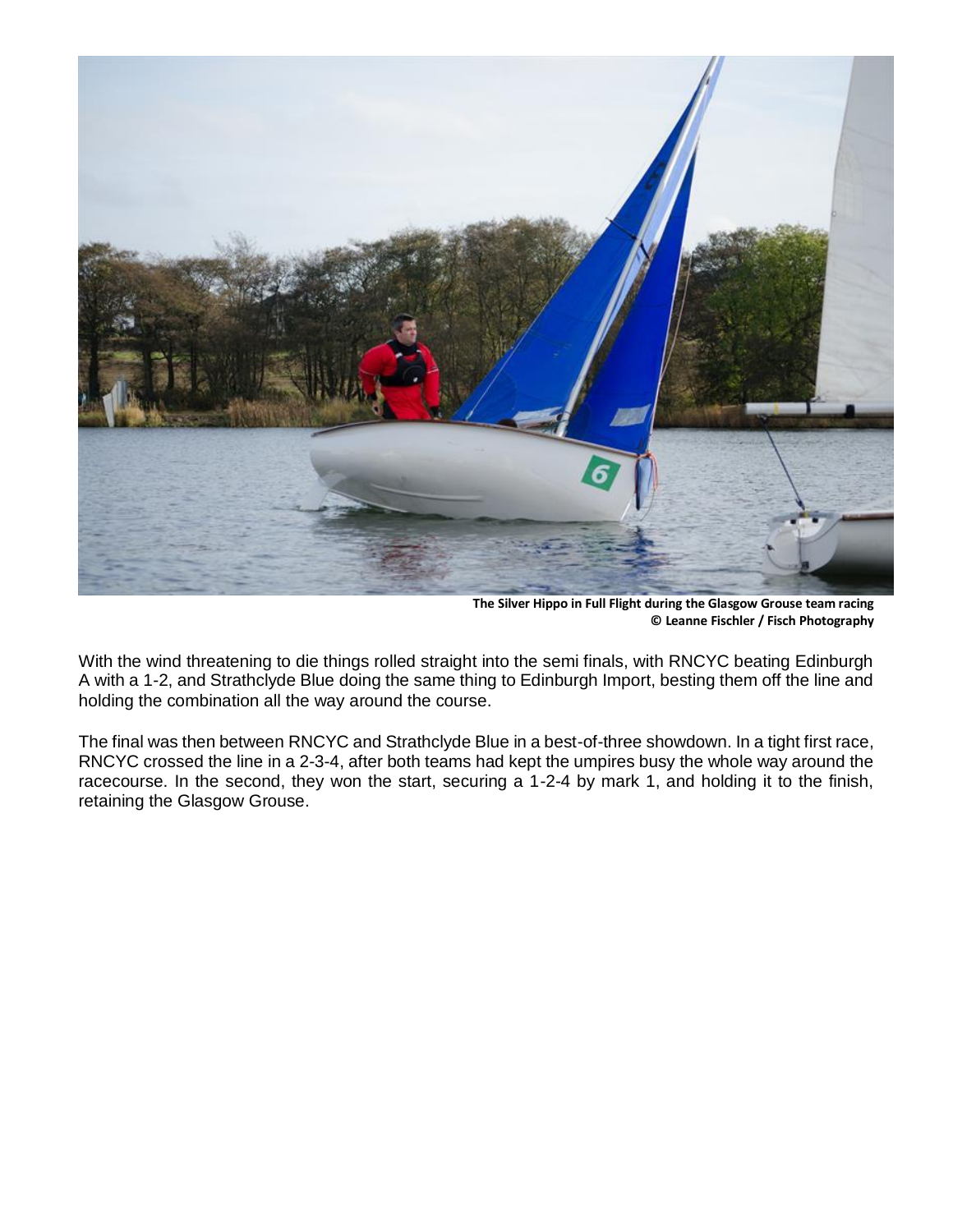

**[The Silver Hippo in Full Flight during the Glasgow Grouse team racing](http://www.yachtsandyachting.com/photo/159405) [© Leanne Fischler / Fisch Photography](http://www.yachtsandyachting.com/photo/159405)**

With the wind threatening to die things rolled straight into the semi finals, with RNCYC beating Edinburgh A with a 1-2, and Strathclyde Blue doing the same thing to Edinburgh Import, besting them off the line and holding the combination all the way around the course.

The final was then between RNCYC and Strathclyde Blue in a best-of-three showdown. In a tight first race, RNCYC crossed the line in a 2-3-4, after both teams had kept the umpires busy the whole way around the racecourse. In the second, they won the start, securing a 1-2-4 by mark 1, and holding it to the finish, retaining the Glasgow Grouse.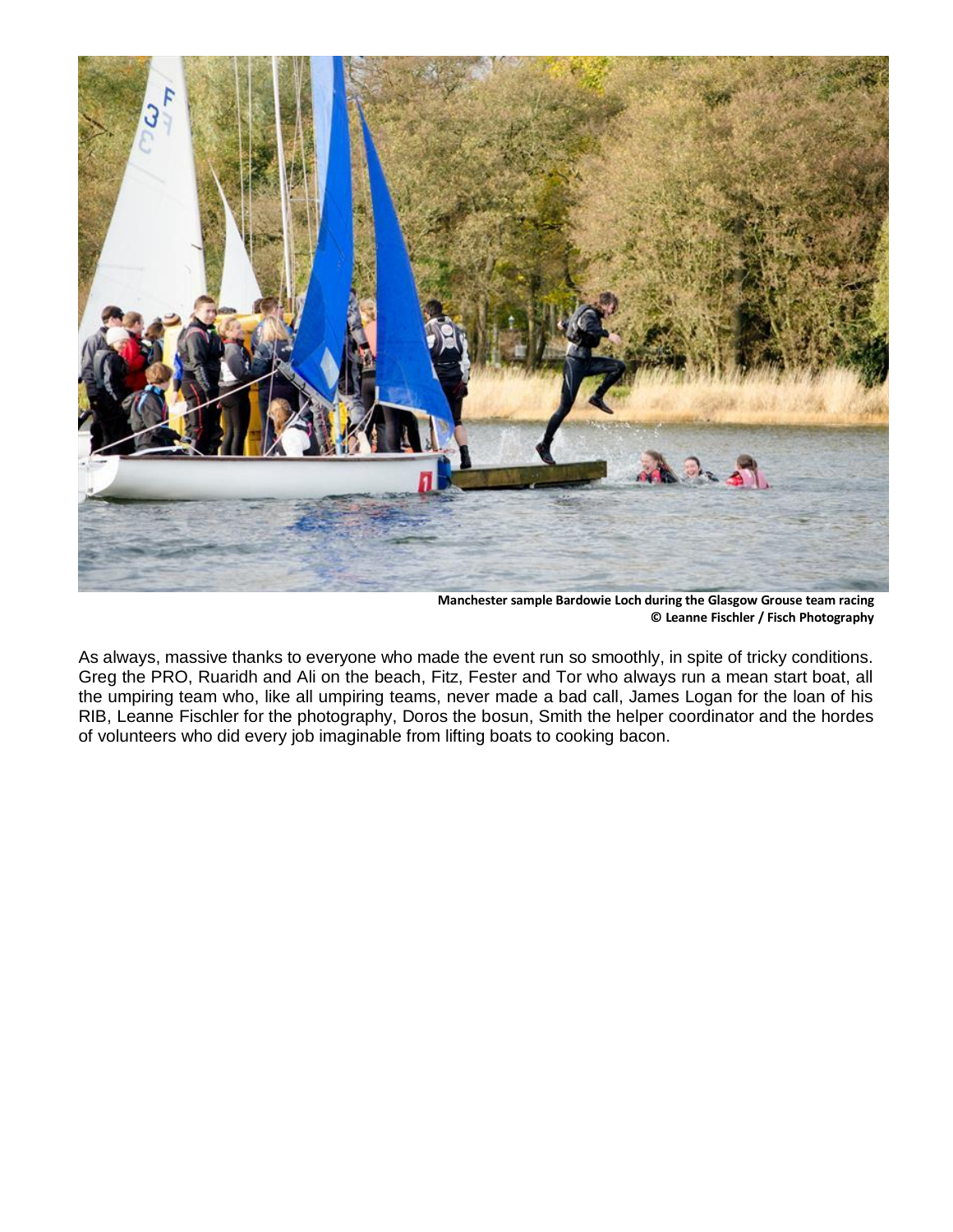

**[Manchester sample Bardowie Loch during the Glasgow Grouse team racing](http://www.yachtsandyachting.com/photo/159406) [© Leanne Fischler / Fisch Photography](http://www.yachtsandyachting.com/photo/159406)**

As always, massive thanks to everyone who made the event run so smoothly, in spite of tricky conditions. Greg the PRO, Ruaridh and Ali on the beach, Fitz, Fester and Tor who always run a mean start boat, all the umpiring team who, like all umpiring teams, never made a bad call, James Logan for the loan of his RIB, Leanne Fischler for the photography, Doros the bosun, Smith the helper coordinator and the hordes of volunteers who did every job imaginable from lifting boats to cooking bacon.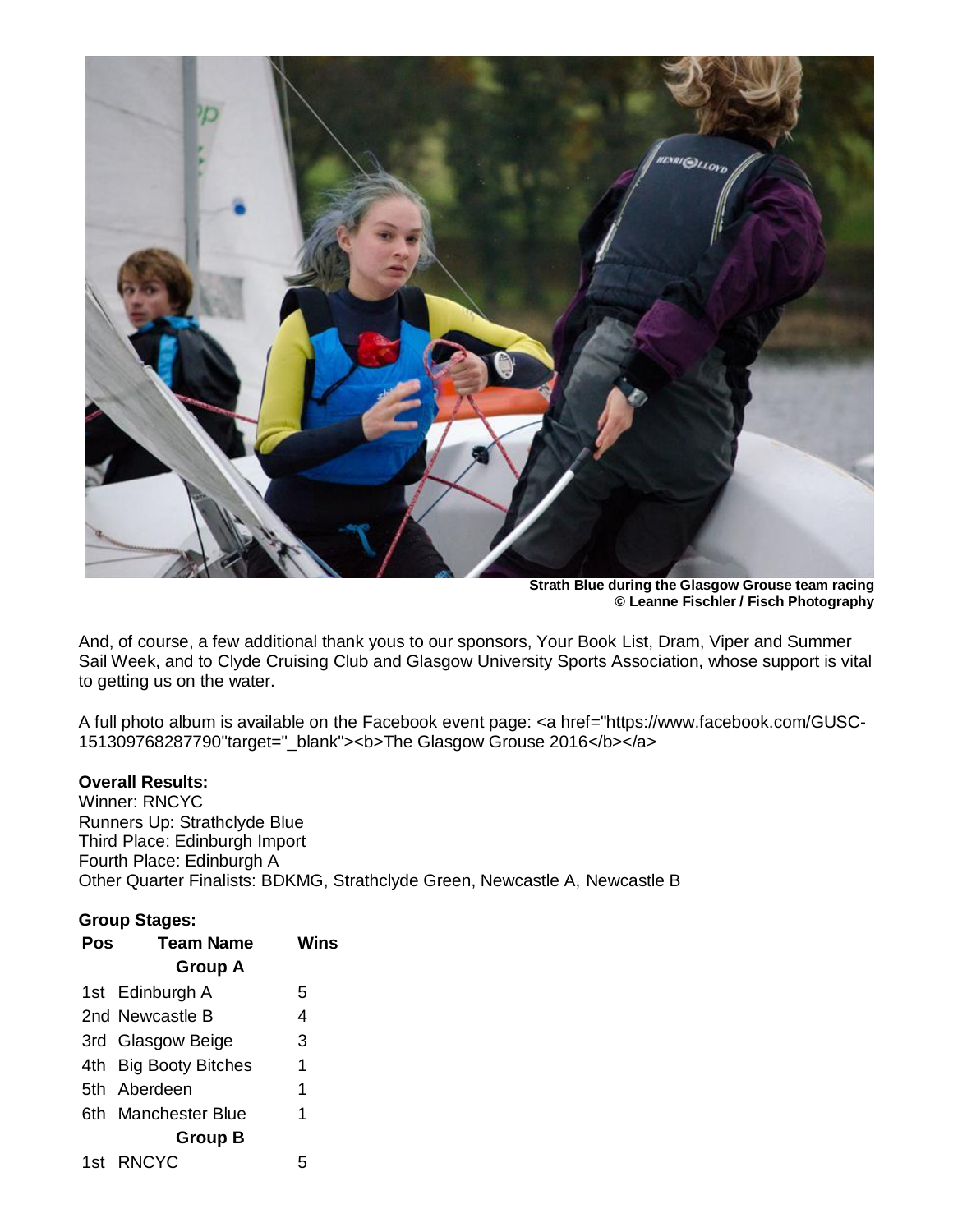

**Strath Blue during the Glasgow Grouse team racing © Leanne Fischler / Fisch Photography**

And, of course, a few additional thank yous to our sponsors, Your Book List, Dram, Viper and Summer Sail Week, and to Clyde Cruising Club and Glasgow University Sports Association, whose support is vital to getting us on the water.

A full photo album is available on the Facebook event page: <a href="https://www.facebook.com/GUSC-151309768287790"target="\_blank"><b>The Glasgow Grouse 2016</b></a>

## **Overall Results:**

Winner: RNCYC Runners Up: Strathclyde Blue Third Place: Edinburgh Import Fourth Place: Edinburgh A Other Quarter Finalists: BDKMG, Strathclyde Green, Newcastle A, Newcastle B

## **Group Stages:**

| Pos | <b>Team Name</b>      | Wins |
|-----|-----------------------|------|
|     | <b>Group A</b>        |      |
|     | 1st Edinburgh A       | 5    |
|     | 2nd Newcastle B       | 4    |
|     | 3rd Glasgow Beige     | 3    |
|     | 4th Big Booty Bitches | 1    |
|     | 5th Aberdeen          | 1    |
|     | 6th Manchester Blue   | 1    |
|     | <b>Group B</b>        |      |
|     | 1st RNCYC             | 5    |